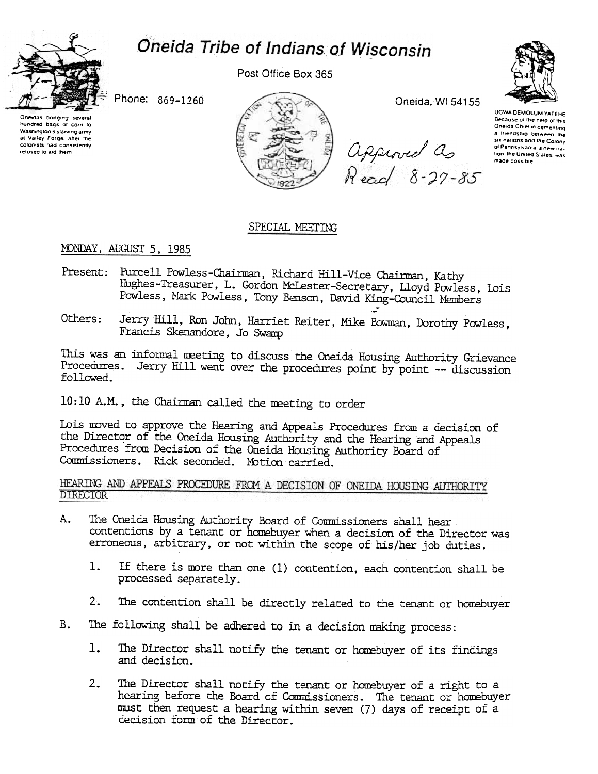# Oneida Tribe of Indians of Wisconsin



Post Office Box 365

Phone: 869-1260





Oneida, WI 54155

approved as<br>Read 8-27-85



UGWA DEMOLUM YATEHE Because of the neig of this Oneida Chief in cementing a friendship between the six nations and the Colony of Pennsylvania, a new nation. the United States, was made possible

## SPECIAL MEETING

## MONDAY, AUGUST 5, 1985

- Present: Purcell Powless-Chairman, Richard Hill-Vice Chairman, Kathy Hughes-Treasurer, L. Gordon McLester-Secretary, Lloyd Powless, Lois Powless, Mark Powless, Tony Benson, David King-Council Members
- Jerry Hill, Ron John, Harriet Reiter, Mike Bowman, Dorothy Powless, Others: Francis Skenandore, Jo Swamp

This was an informal meeting to discuss the Oneida Housing Authority Grievance Procedures. Jerry Hill went over the procedures point by point -- discussion followed.

10:10 A.M., the Chairman called the meeting to order

Lois moved to approve the Hearing and Appeals Procedures from a decision of the Director of the Oneida Housing Authority and the Hearing and Appeals Procedures from Decision of the Oneida Housing Authority Board of Commissioners. Rick seconded. Motion carried.

HEARING AND APPEALS PROCEDURE FROM A DECISION OF ONEIDA HOUSING AUTHORITY **DIRECTOR** 

- The Oneida Housing Authority Board of Commissioners shall hear A. contentions by a tenant or homebuyer when a decision of the Director was erroneous, arbitrary, or not within the scope of his/her job duties.
	- 1. If there is more than one (1) contention, each contention shall be processed separately.
	- The contention shall be directly related to the tenant or homebuyer  $2.$
- The following shall be adhered to in a decision making process: B.
	- The Director shall notify the tenant or homebuyer of its findings  $1.$ and decision.
	- $2 -$ The Director shall notify the tenant or homebuyer of a right to a hearing before the Board of Commissioners. The tenant or homebuyer must then request a hearing within seven (7) days of receipt of a decision form of the Director.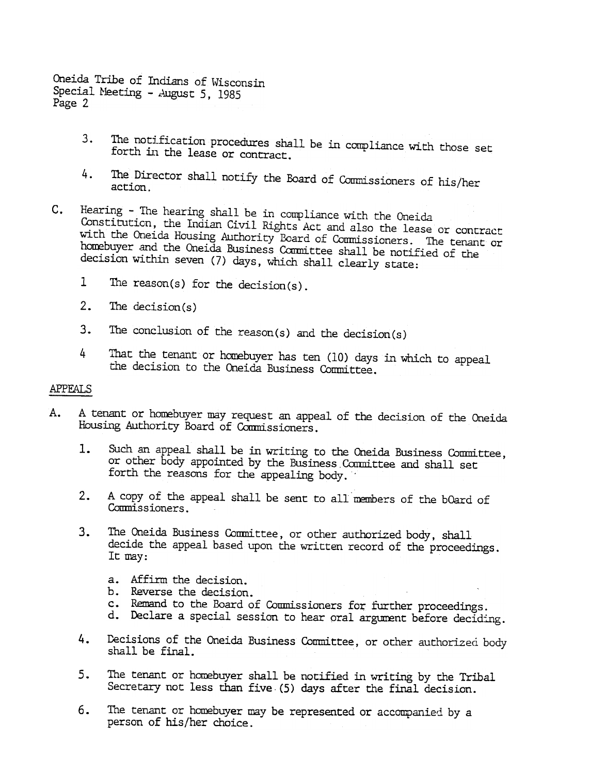Oneida Tribe of Indians of Wisconsin Special Meeting - August 5, 1985 Page 2

- 3. The notification procedures shall be in compliance with those set forth in the lease or contract.
- The Director shall notify the Board of Commissioners of his/heraction. 4.
- c. Hearing -The hearing shall be in compliance with the Oneida Constitution, the Indian Civil Rights Act and also the lease or contract with the Oneida Housing Authority Board of Commissioners. The tenant or homebuyer and the Oneida Business Committee shall be notified of the decision within seven (7) days, which shall clearly state:
	- 1 The reason(s) for the decision(s).
	-
	- The conclusion of the reason(s) and the decision(s)
	- 4 That the tenant or homebuyer has ten (10) days in which to appeal the decision to the Oneida Business Committee.

#### APPEALS

- A. A tenant or homebuyer may request an appeal of the decision of the Oneida Housing Authority Board of Commissioners.
	- Such an appeal shall be in writing to the Oneida Business Committee, or other body appointed by the Business Committee and shall set forth the reasons for the appealing body.
	- A copy of the appeal shall be sent to all members of the bOard of Commissioners.
- 2. The decision (3. The decision 4 That the tena<br>
the decision<br>
4 That the tena<br>
decision<br>
APPEALS<br>
A. A tenant or homebure<br>
Housing Authority<br>
1. Such an appear<br>
or other body<br>
forth the rea<br>
2. A copy of the<br>
Commissione 1. Such an appeal shall be in writing to the Oneida Business Committee forth the reasons for the appealing body.<br>
2. A copy of the appeal shall be sent to all members of the bOard of Commissioners.<br>
3. The Oneida Business 2. A copy of the appeal shall be sent to all members of the bOard of Commissioners.<br>
3. The Oneida Business Committee, or other authorized body, shall decide the appeal based upon the written record of the proceeding I I m 3. The Oneida Business Committee, or other authorized body, shalled the appeal based upon the written record of the proceed I and it may:<br>It may:<br>A severse the decision.<br>D. Reverse the decision.<br>C. Remand to the Board of C The Oneida Business Committee, or other authorized body, shall decide the appeal based upon the written record of the proceedings. It may:
	- a. Affirm the decision
	- b. Reverse the decision
	- c. Remand to the Board of Commissioners for further proceedings.
	- d. Declare a special session to hear oral argument before deciding.
	- Decisions of the Oneida Business Committee, or other authorized body shall be final.
- 4. Decisions of the Oneida Business Committee, or other authorized body shall be final.<br>5. The tenant or homebuyer shall be notified in writing by the Tribal Secretary not less than five (5) days after the final decision.<br> 5. The tenant or homebuyer shall be notified in writing by the Tribal Secretary not less than five (5) days after the final decision.<br>6. The tenant or homebuyer may be represented or accompanied by a person of his/her choi The tenant or homebuyer shall be notified in writing by the Tribal Secretary not less than five (5) days after the final decision.
	- person of his/her choice.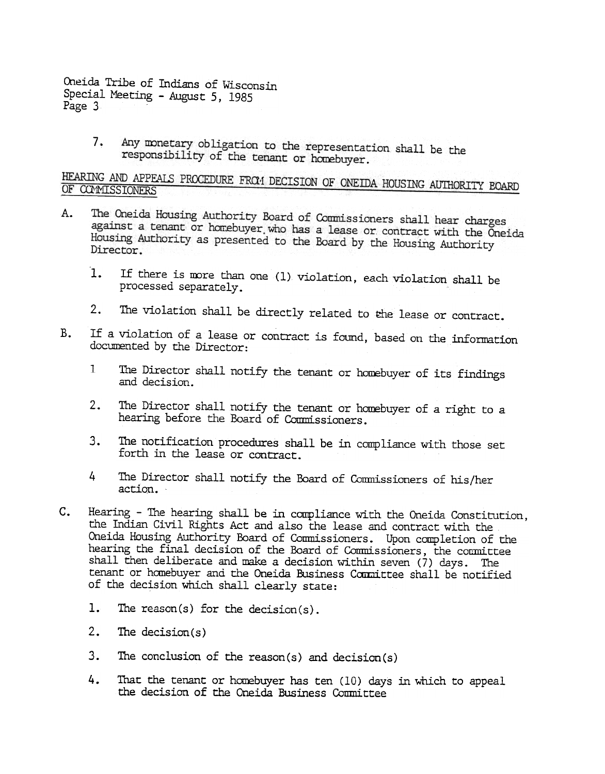Oneida Tribe of Indians of Wisconsin Special Meeting -August 5, 1985 Page 3

> Any monetary obligation to the representation shall be the<br>responsibility of the terminal control of the second shall be the 7. responsibility of the tenant or homebuyer.

HEARING AND APPEALS PROCEDURE FROM DECISION OF ONEIDA HOUSING AUTHORITY BOARD OF CONMISSIONERS OF COMMISSIONERS

- The Oneida Housing Authority Board of Commissioners shall hear charges A. against a tenant or homebuyer who has a lease or contract with the Oneida<br>Housing Authority as procented to the B lease or contract with the Oneida Housing Authority as presented to the Board by the Housing Authority<br>Director Director.
	- If there is rwre than one (1) violation, each violation shall be  $1.$ processed separately.
	- 2. The violation shall be directly related to the lease or contract.
- B. If a violation of a lease or contract is found, based on the information documented by the Director:
	- 1 The Director shall notify the tenant or homebuyer of its findings and decision.
	- The Director shall notify the tenant or homebuyer of a right to a  $2.$ hearing before the Board of Commissioners.
	- The notification procedures shall be in compliance with those set forth in the lease or contract.
	- 4 The Director shall notify the Board of Commissioners of his/her
- 3. The notification procedures shall be in compliance with those set forth in the lease or contract.<br>4 The Director shall notify the Board of Commissioners of his/her action.<br>5 The hearing shall be in compliance with the O c. Hearing -The hearing shall be in compliance with the Oneida Constitution, the Indian Civil Rights Act and also the lease and contract with the Oneida Housing Authority Board of Conmissioners. Upon completion of the hearing the final decision of the Board of Commissioners, the committee shall then deliberate and make a decision within seven  $(7)$  days. The tenant or homebuyer and the Oneida Business Committee shall be notified of the decision which shall clearly state:
	- 1. The reason(s) for the decision(s).
	- 2. The decision(s)
	- The conclusion of the reason(s) and decision(s)
	- 4. That the tenant or homebuyer has ten (10) days in which to appeal the decision of the Oneida Business Conmittee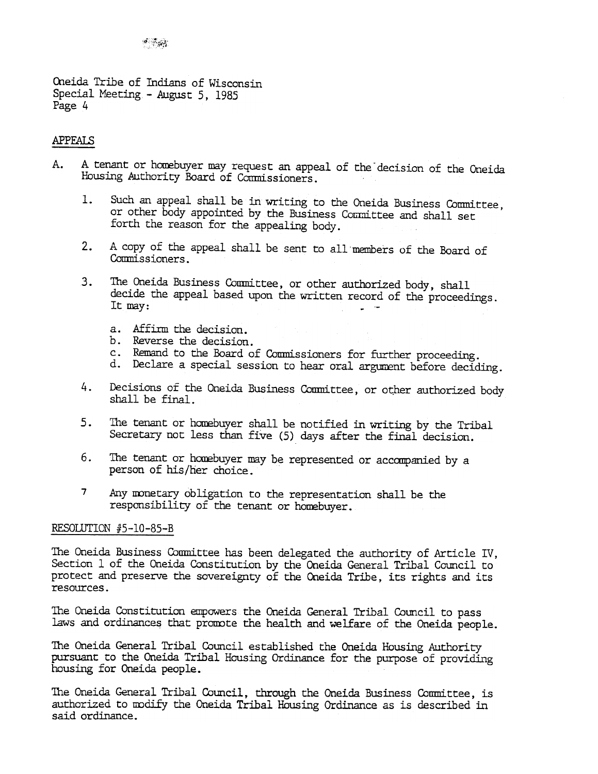Oneida Tribe of Indians of Wisconsin Special Meeting -August 5, 1985 Page 4

## APPFALS

- A tenant or homebuyer may request an appeal of the decision of the Oneida A. Housing Authority Board of Commissioners.
	- Such an appeal shall be in writing to the Oneida Business Committee, 1. or other body appointed by the Business Cournittee and shall set forth the reason for the appealing body.
	- A copy of the appeal shall be sent to all members of the Board of Commissioners.
	- decide the appeal based upon the written record of the proceedings It may:  $\qquad \qquad \blacksquare$ 
		- a. Affirm the decision
		- b. Reverse the decision
		- c. Remand to the Board of Commissioners for further proceeding
		- Declare a special session to hear oral argument before deciding.
	- Decisions of the Oneida Business Committee, or other authorized body shall be final.
	- The tenant or homebuyer shall be notified in writing by the Tribal Secretary not less than five (5) days after the final decision.
	- The tenant or homebuyer may be represented or accompanied by a person of his/her choice.
	- 7 Any monetary obligation to the representation shall be the responsibility of the tenant or homebuyer.

### RESOLUTION  $#5-10-85-B$

2. A copy of the appeal shall be sent to all mombers of the Board of the cords for any of the appeal shadle upon the written record of the proceeding transy.<br>
2. The Cords the appeal based upon the written record of the pr 3. The Oneida Business Committee, or other authorized body, shall the may.<br>
If may, denote the speed the states correct of the processes as Affilm the decision.<br>
1. Reference the decision of the material states of Commiss 4. Decisions of the Oneida Business Committee, or other authorized body<br>shall be final.<br>5. The tenant or homebuyer shall be notified in writing by the Tribal<br>Secretary not less than five (5) days after the final decision.<br> 5. The tenant or homeboyer shall be notified in writing by the Tribal Secretary not less than five (5) days after the final decision.<br>6. The tenant or homeboyer may be represented or accompanied by a person of his/her cho 6. The tenant or homebuyer may be represented or accompanied by a person of his/her choice.<br>
7 Any monetary obligation to the representation shall be the responsibility of the tenant or homebuyer.<br>
RESOLUTICN #5-10-85-B<br>
T The Oneida Business Conmittee has been delegated the authority of Article IV, Section 1 of the Oneida Constitution by the Oneida General Tribal Council to protect and preserve the sovereignty of the Oneida Tribe, its rights and its

The Oneida Constitution empowers the Oneida General Tribal Council to pass laws and ordinances that promote the health and welfare of the Oneida people.

The Oneida General Tribal Council established the Oneida Housing Authority pursuant to the Oneida Tribal Housing Ordinarice for the purpose of providing housing for Oneida people.

The Oneida General Tribal Council, through the Oneida Business Committee, is authorized to modify the Oneida Tribal Housing Ordinance as is described in said ordinance.